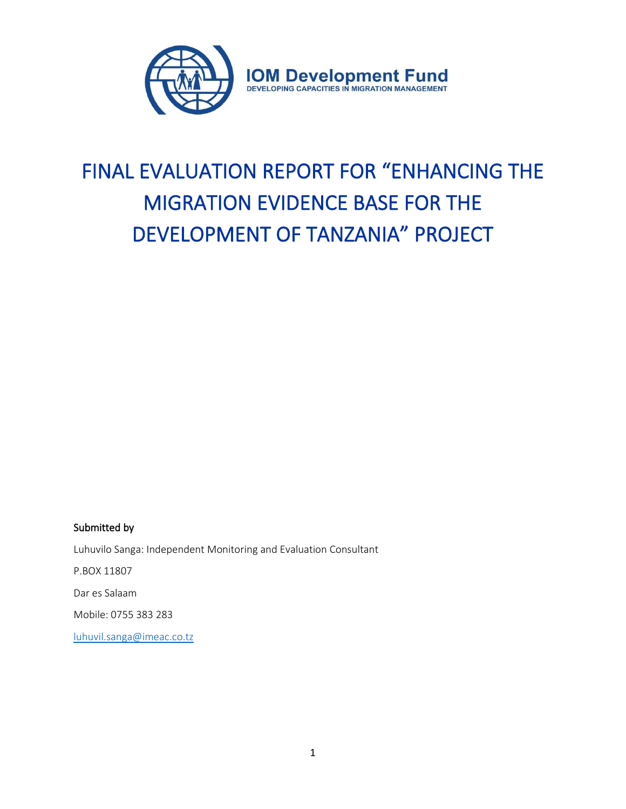

# FINAL EVALUATION REPORT FOR "ENHANCING THE MIGRATION EVIDENCE BASE FOR THE DEVELOPMENT OF TANZANIA" PROJECT

## Submitted by

Luhuvilo Sanga: Independent Monitoring and Evaluation Consultant P.BOX 11807 Dar es Salaam Mobile: 0755 383 283 [luhuvil.sanga@imeac.co.tz](mailto:luhuvil.sanga@imeac.co.tz)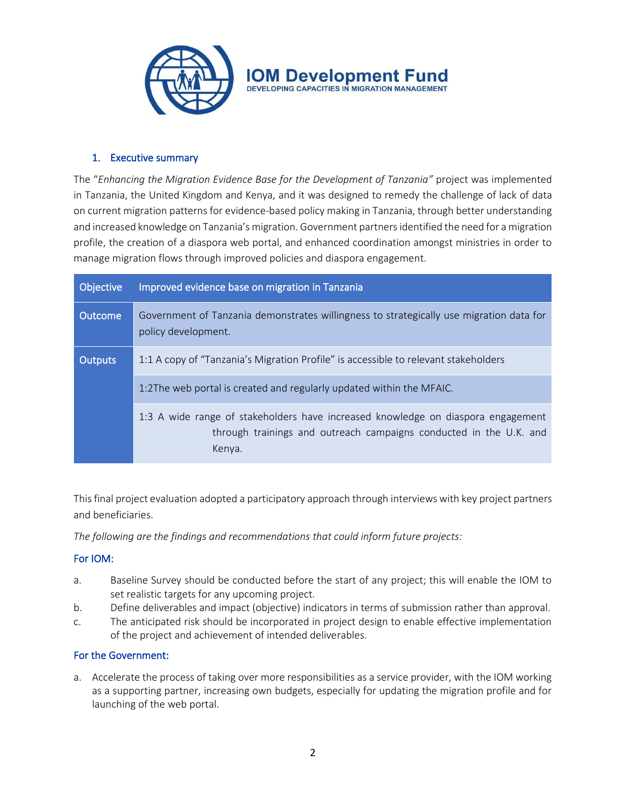

## 1. Executive summary

The "*Enhancing the Migration Evidence Base for the Development of Tanzania"* project was implemented in Tanzania, the United Kingdom and Kenya, and it was designed to remedy the challenge of lack of data on current migration patterns for evidence-based policy making in Tanzania, through better understanding and increased knowledge on Tanzania's migration. Government partners identified the need for a migration profile, the creation of a diaspora web portal, and enhanced coordination amongst ministries in order to manage migration flows through improved policies and diaspora engagement.

| Objective      | Improved evidence base on migration in Tanzania                                                                                                                  |
|----------------|------------------------------------------------------------------------------------------------------------------------------------------------------------------|
| <b>Outcome</b> | Government of Tanzania demonstrates willingness to strategically use migration data for<br>policy development.                                                   |
| <b>Outputs</b> | 1:1 A copy of "Tanzania's Migration Profile" is accessible to relevant stakeholders                                                                              |
|                | 1:2The web portal is created and regularly updated within the MFAIC.                                                                                             |
|                | 1:3 A wide range of stakeholders have increased knowledge on diaspora engagement<br>through trainings and outreach campaigns conducted in the U.K. and<br>Kenya. |

This final project evaluation adopted a participatory approach through interviews with key project partners and beneficiaries.

*The following are the findings and recommendations that could inform future projects:*

## For IOM:

- a. Baseline Survey should be conducted before the start of any project; this will enable the IOM to set realistic targets for any upcoming project.
- b. Define deliverables and impact (objective) indicators in terms of submission rather than approval.
- c. The anticipated risk should be incorporated in project design to enable effective implementation of the project and achievement of intended deliverables.

## For the Government:

a. Accelerate the process of taking over more responsibilities as a service provider, with the IOM working as a supporting partner, increasing own budgets, especially for updating the migration profile and for launching of the web portal.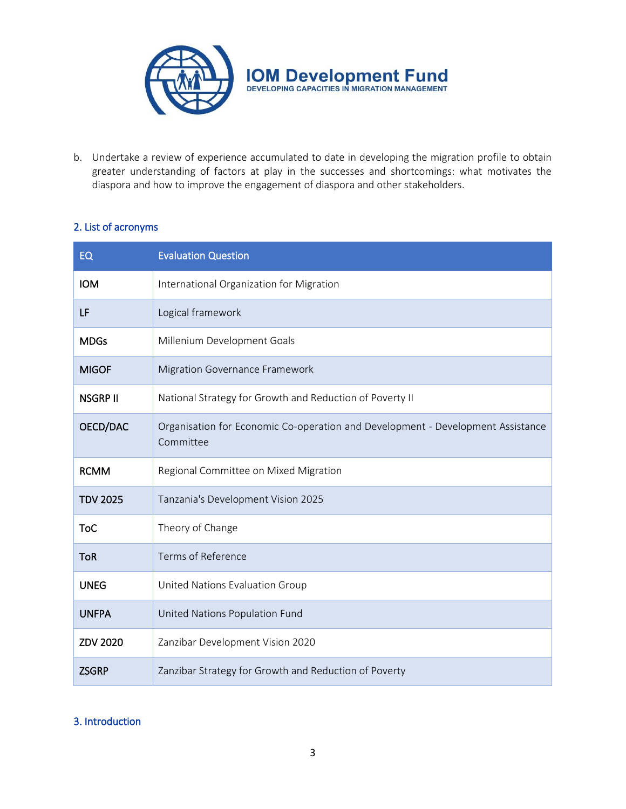

b. Undertake a review of experience accumulated to date in developing the migration profile to obtain greater understanding of factors at play in the successes and shortcomings: what motivates the diaspora and how to improve the engagement of diaspora and other stakeholders.

# 2. List of acronyms

| <b>EQ</b>       | <b>Evaluation Question</b>                                                                   |
|-----------------|----------------------------------------------------------------------------------------------|
| <b>IOM</b>      | International Organization for Migration                                                     |
| LF              | Logical framework                                                                            |
| <b>MDGs</b>     | Millenium Development Goals                                                                  |
| <b>MIGOF</b>    | Migration Governance Framework                                                               |
| <b>NSGRP II</b> | National Strategy for Growth and Reduction of Poverty II                                     |
| OECD/DAC        | Organisation for Economic Co-operation and Development - Development Assistance<br>Committee |
| <b>RCMM</b>     | Regional Committee on Mixed Migration                                                        |
| <b>TDV 2025</b> | Tanzania's Development Vision 2025                                                           |
| ToC             | Theory of Change                                                                             |
| <b>ToR</b>      | Terms of Reference                                                                           |
| <b>UNEG</b>     | United Nations Evaluation Group                                                              |
| <b>UNFPA</b>    | United Nations Population Fund                                                               |
| <b>ZDV 2020</b> | Zanzibar Development Vision 2020                                                             |
| <b>ZSGRP</b>    | Zanzibar Strategy for Growth and Reduction of Poverty                                        |

## 3. Introduction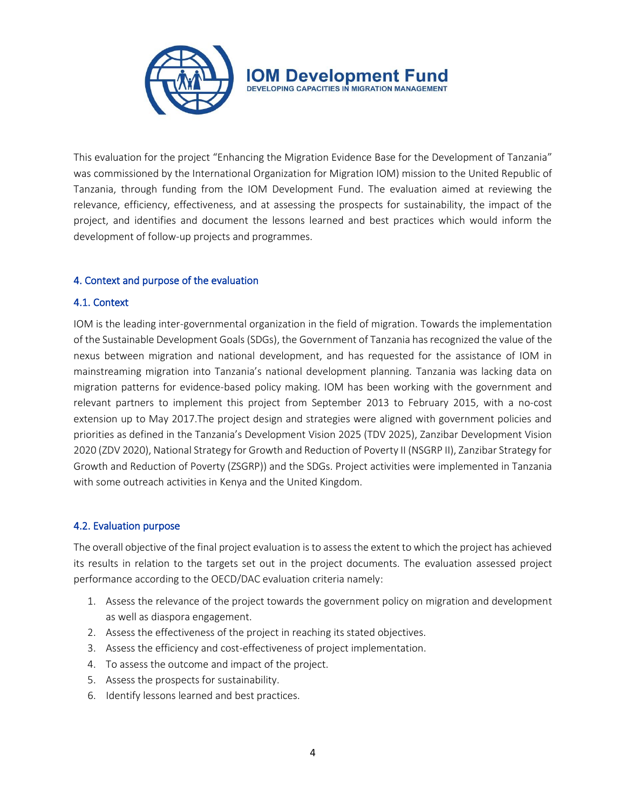

This evaluation for the project "Enhancing the Migration Evidence Base for the Development of Tanzania" was commissioned by the International Organization for Migration IOM) mission to the United Republic of Tanzania, through funding from the IOM Development Fund. The evaluation aimed at reviewing the relevance, efficiency, effectiveness, and at assessing the prospects for sustainability, the impact of the project, and identifies and document the lessons learned and best practices which would inform the development of follow-up projects and programmes.

## 4. Context and purpose of the evaluation

## 4.1. Context

IOM is the leading inter-governmental organization in the field of migration. Towards the implementation of the Sustainable Development Goals (SDGs), the Government of Tanzania has recognized the value of the nexus between migration and national development, and has requested for the assistance of IOM in mainstreaming migration into Tanzania's national development planning. Tanzania was lacking data on migration patterns for evidence-based policy making. IOM has been working with the government and relevant partners to implement this project from September 2013 to February 2015, with a no-cost extension up to May 2017.The project design and strategies were aligned with government policies and priorities as defined in the Tanzania's Development Vision 2025 (TDV 2025), Zanzibar Development Vision 2020 (ZDV 2020), National Strategy for Growth and Reduction of Poverty II (NSGRP II), Zanzibar Strategy for Growth and Reduction of Poverty (ZSGRP)) and the SDGs. Project activities were implemented in Tanzania with some outreach activities in Kenya and the United Kingdom.

## 4.2. Evaluation purpose

The overall objective of the final project evaluation is to assess the extent to which the project has achieved its results in relation to the targets set out in the project documents. The evaluation assessed project performance according to the OECD/DAC evaluation criteria namely:

- 1. Assess the relevance of the project towards the government policy on migration and development as well as diaspora engagement.
- 2. Assess the effectiveness of the project in reaching its stated objectives.
- 3. Assess the efficiency and cost-effectiveness of project implementation.
- 4. To assess the outcome and impact of the project.
- 5. Assess the prospects for sustainability.
- 6. Identify lessons learned and best practices.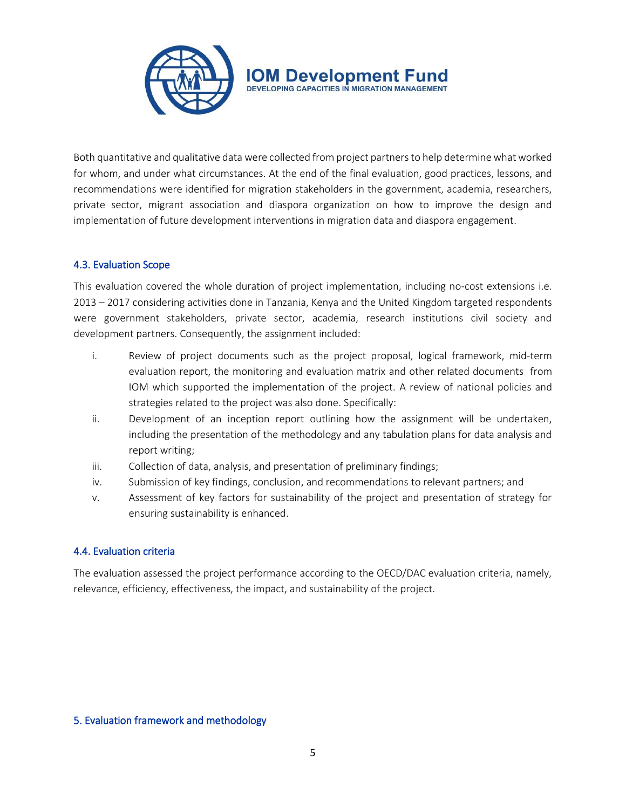

Both quantitative and qualitative data were collected from project partnersto help determine what worked for whom, and under what circumstances. At the end of the final evaluation, good practices, lessons, and recommendations were identified for migration stakeholders in the government, academia, researchers, private sector, migrant association and diaspora organization on how to improve the design and implementation of future development interventions in migration data and diaspora engagement.

## 4.3. Evaluation Scope

This evaluation covered the whole duration of project implementation, including no-cost extensions i.e. 2013 – 2017 considering activities done in Tanzania, Kenya and the United Kingdom targeted respondents were government stakeholders, private sector, academia, research institutions civil society and development partners. Consequently, the assignment included:

- i. Review of project documents such as the project proposal, logical framework, mid-term evaluation report, the monitoring and evaluation matrix and other related documents from IOM which supported the implementation of the project. A review of national policies and strategies related to the project was also done. Specifically:
- ii. Development of an inception report outlining how the assignment will be undertaken, including the presentation of the methodology and any tabulation plans for data analysis and report writing;
- iii. Collection of data, analysis, and presentation of preliminary findings;
- iv. Submission of key findings, conclusion, and recommendations to relevant partners; and
- v. Assessment of key factors for sustainability of the project and presentation of strategy for ensuring sustainability is enhanced.

#### 4.4. Evaluation criteria

The evaluation assessed the project performance according to the OECD/DAC evaluation criteria, namely, relevance, efficiency, effectiveness, the impact, and sustainability of the project.

#### 5. Evaluation framework and methodology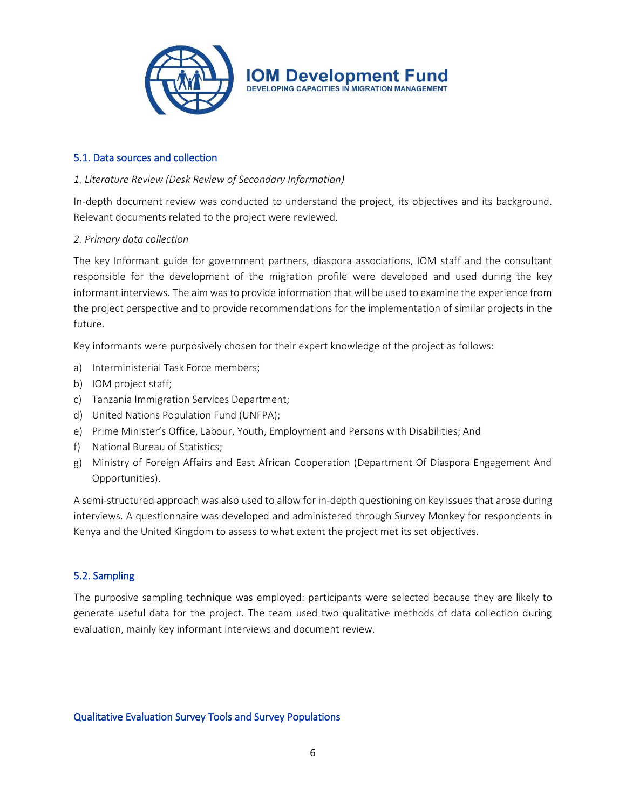

## 5.1. Data sources and collection

#### *1. Literature Review (Desk Review of Secondary Information)*

In-depth document review was conducted to understand the project, its objectives and its background. Relevant documents related to the project were reviewed.

#### *2. Primary data collection*

The key Informant guide for government partners, diaspora associations, IOM staff and the consultant responsible for the development of the migration profile were developed and used during the key informant interviews. The aim was to provide information that will be used to examine the experience from the project perspective and to provide recommendations for the implementation of similar projects in the future.

Key informants were purposively chosen for their expert knowledge of the project as follows:

- a) Interministerial Task Force members;
- b) IOM project staff;
- c) Tanzania Immigration Services Department;
- d) United Nations Population Fund (UNFPA);
- e) Prime Minister's Office, Labour, Youth, Employment and Persons with Disabilities; And
- f) National Bureau of Statistics;
- g) Ministry of Foreign Affairs and East African Cooperation (Department Of Diaspora Engagement And Opportunities).

A semi-structured approach was also used to allow for in-depth questioning on key issues that arose during interviews. A questionnaire was developed and administered through Survey Monkey for respondents in Kenya and the United Kingdom to assess to what extent the project met its set objectives.

## 5.2. Sampling

The purposive sampling technique was employed: participants were selected because they are likely to generate useful data for the project. The team used two qualitative methods of data collection during evaluation, mainly key informant interviews and document review.

#### Qualitative Evaluation Survey Tools and Survey Populations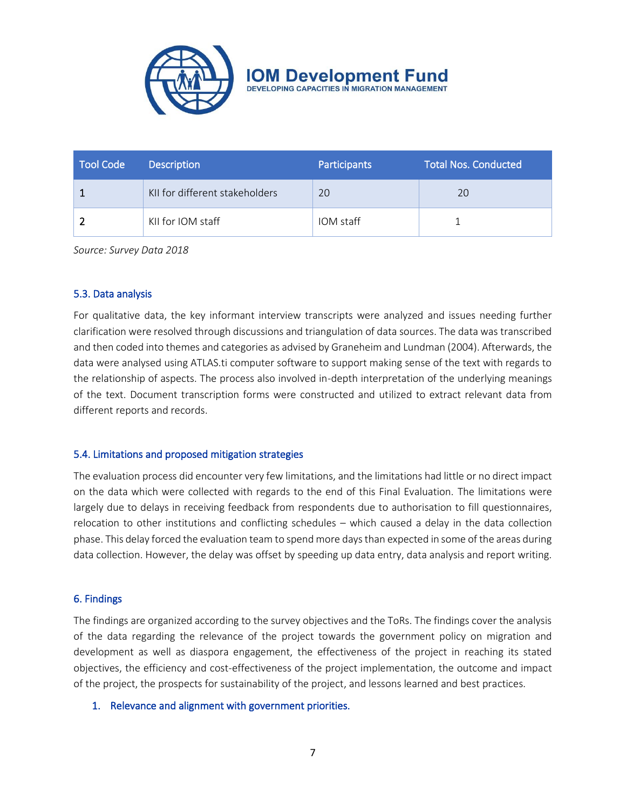

**IOM Developmen DEVELOPING CAPACITIES IN MIGRATION MANAGEMENT** 

| <b>Tool Code</b> | <b>Description</b>             | Participants | <b>Total Nos. Conducted</b> |
|------------------|--------------------------------|--------------|-----------------------------|
|                  | KII for different stakeholders | 20           | 20                          |
|                  | KII for IOM staff              | IOM staff    |                             |

*Source: Survey Data 2018*

#### 5.3. Data analysis

For qualitative data, the key informant interview transcripts were analyzed and issues needing further clarification were resolved through discussions and triangulation of data sources. The data was transcribed and then coded into themes and categories as advised by Graneheim and Lundman (2004). Afterwards, the data were analysed using ATLAS.ti computer software to support making sense of the text with regards to the relationship of aspects. The process also involved in-depth interpretation of the underlying meanings of the text. Document transcription forms were constructed and utilized to extract relevant data from different reports and records.

#### 5.4. Limitations and proposed mitigation strategies

The evaluation process did encounter very few limitations, and the limitations had little or no direct impact on the data which were collected with regards to the end of this Final Evaluation. The limitations were largely due to delays in receiving feedback from respondents due to authorisation to fill questionnaires, relocation to other institutions and conflicting schedules – which caused a delay in the data collection phase. This delay forced the evaluation team to spend more days than expected in some of the areas during data collection. However, the delay was offset by speeding up data entry, data analysis and report writing.

#### 6. Findings

The findings are organized according to the survey objectives and the ToRs. The findings cover the analysis of the data regarding the relevance of the project towards the government policy on migration and development as well as diaspora engagement, the effectiveness of the project in reaching its stated objectives, the efficiency and cost-effectiveness of the project implementation, the outcome and impact of the project, the prospects for sustainability of the project, and lessons learned and best practices.

#### 1. Relevance and alignment with government priorities.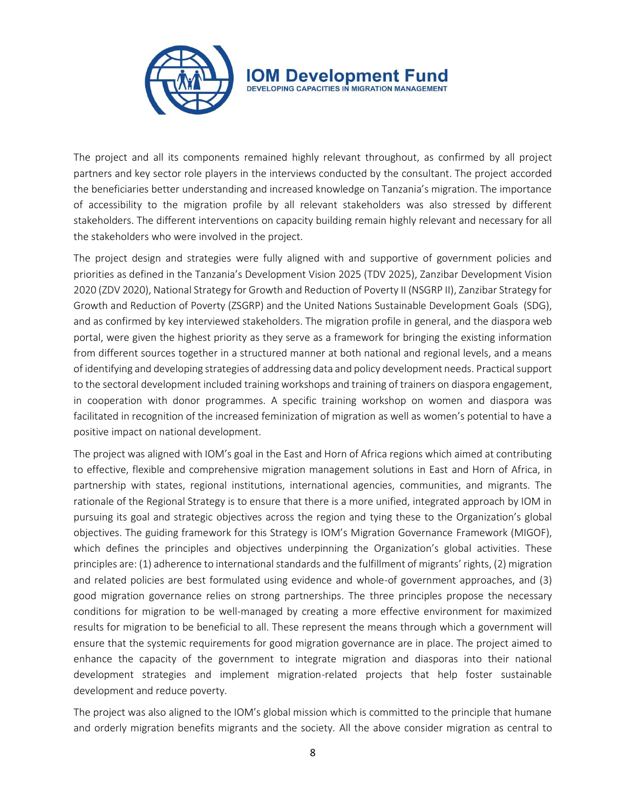

The project and all its components remained highly relevant throughout, as confirmed by all project partners and key sector role players in the interviews conducted by the consultant. The project accorded the beneficiaries better understanding and increased knowledge on Tanzania's migration. The importance of accessibility to the migration profile by all relevant stakeholders was also stressed by different stakeholders. The different interventions on capacity building remain highly relevant and necessary for all the stakeholders who were involved in the project.

The project design and strategies were fully aligned with and supportive of government policies and priorities as defined in the Tanzania's Development Vision 2025 (TDV 2025), Zanzibar Development Vision 2020 (ZDV 2020), National Strategy for Growth and Reduction of Poverty II (NSGRP II), Zanzibar Strategy for Growth and Reduction of Poverty (ZSGRP) and the United Nations Sustainable Development Goals (SDG), and as confirmed by key interviewed stakeholders. The migration profile in general, and the diaspora web portal, were given the highest priority as they serve as a framework for bringing the existing information from different sources together in a structured manner at both national and regional levels, and a means of identifying and developing strategies of addressing data and policy development needs. Practical support to the sectoral development included training workshops and training of trainers on diaspora engagement, in cooperation with donor programmes. A specific training workshop on women and diaspora was facilitated in recognition of the increased feminization of migration as well as women's potential to have a positive impact on national development.

The project was aligned with IOM's goal in the East and Horn of Africa regions which aimed at contributing to effective, flexible and comprehensive migration management solutions in East and Horn of Africa, in partnership with states, regional institutions, international agencies, communities, and migrants. The rationale of the Regional Strategy is to ensure that there is a more unified, integrated approach by IOM in pursuing its goal and strategic objectives across the region and tying these to the Organization's global objectives. The guiding framework for this Strategy is IOM's Migration Governance Framework (MIGOF), which defines the principles and objectives underpinning the Organization's global activities. These principles are: (1) adherence to international standards and the fulfillment of migrants' rights, (2) migration and related policies are best formulated using evidence and whole-of government approaches, and (3) good migration governance relies on strong partnerships. The three principles propose the necessary conditions for migration to be well-managed by creating a more effective environment for maximized results for migration to be beneficial to all. These represent the means through which a government will ensure that the systemic requirements for good migration governance are in place. The project aimed to enhance the capacity of the government to integrate migration and diasporas into their national development strategies and implement migration-related projects that help foster sustainable development and reduce poverty.

The project was also aligned to the IOM's global mission which is committed to the principle that humane and orderly migration benefits migrants and the society. All the above consider migration as central to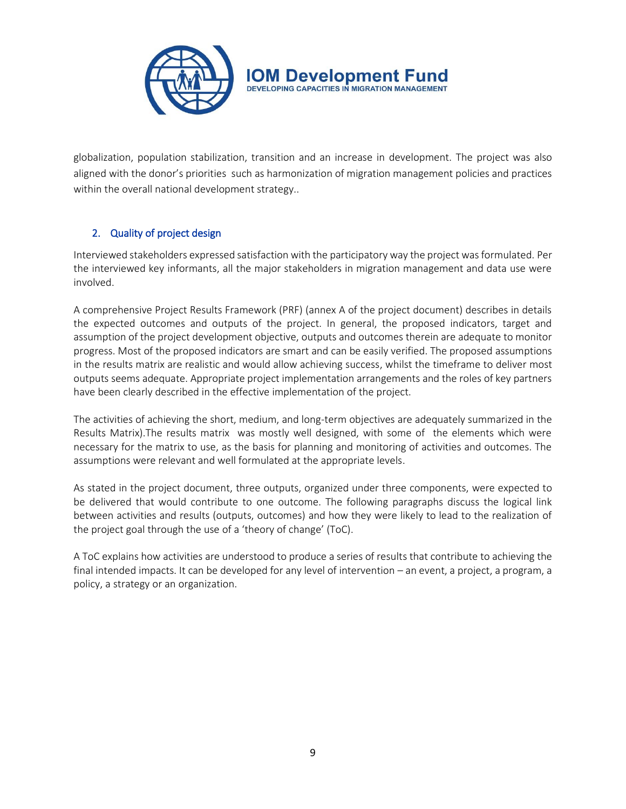

globalization, population stabilization, transition and an increase in development. The project was also aligned with the donor's priorities such as harmonization of migration management policies and practices within the overall national development strategy..

# 2. Quality of project design

Interviewed stakeholders expressed satisfaction with the participatory way the project was formulated. Per the interviewed key informants, all the major stakeholders in migration management and data use were involved.

A comprehensive Project Results Framework (PRF) (annex A of the project document) describes in details the expected outcomes and outputs of the project. In general, the proposed indicators, target and assumption of the project development objective, outputs and outcomes therein are adequate to monitor progress. Most of the proposed indicators are smart and can be easily verified. The proposed assumptions in the results matrix are realistic and would allow achieving success, whilst the timeframe to deliver most outputs seems adequate. Appropriate project implementation arrangements and the roles of key partners have been clearly described in the effective implementation of the project.

The activities of achieving the short, medium, and long-term objectives are adequately summarized in the Results Matrix).The results matrix was mostly well designed, with some of the elements which were necessary for the matrix to use, as the basis for planning and monitoring of activities and outcomes. The assumptions were relevant and well formulated at the appropriate levels.

As stated in the project document, three outputs, organized under three components, were expected to be delivered that would contribute to one outcome. The following paragraphs discuss the logical link between activities and results (outputs, outcomes) and how they were likely to lead to the realization of the project goal through the use of a 'theory of change' (ToC).

A ToC explains how activities are understood to produce a series of results that contribute to achieving the final intended impacts. It can be developed for any level of intervention – an event, a project, a program, a policy, a strategy or an organization.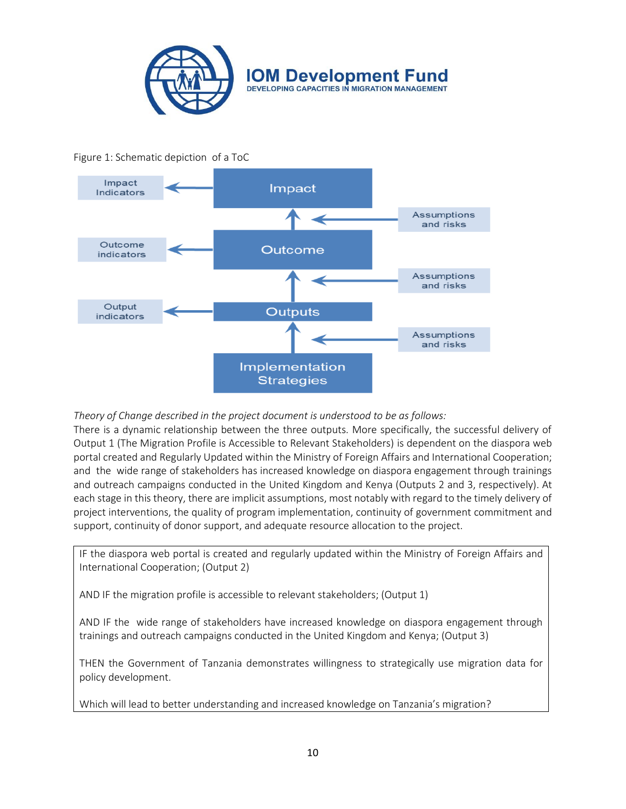

## Figure 1: Schematic depiction of a ToC



#### *Theory of Change described in the project document is understood to be as follows:*

There is a dynamic relationship between the three outputs. More specifically, the successful delivery of Output 1 (The Migration Profile is Accessible to Relevant Stakeholders) is dependent on the diaspora web portal created and Regularly Updated within the Ministry of Foreign Affairs and International Cooperation; and the wide range of stakeholders has increased knowledge on diaspora engagement through trainings and outreach campaigns conducted in the United Kingdom and Kenya (Outputs 2 and 3, respectively). At each stage in this theory, there are implicit assumptions, most notably with regard to the timely delivery of project interventions, the quality of program implementation, continuity of government commitment and support, continuity of donor support, and adequate resource allocation to the project.

IF the diaspora web portal is created and regularly updated within the Ministry of Foreign Affairs and International Cooperation; (Output 2)

AND IF the migration profile is accessible to relevant stakeholders; (Output 1)

AND IF the wide range of stakeholders have increased knowledge on diaspora engagement through trainings and outreach campaigns conducted in the United Kingdom and Kenya; (Output 3)

THEN the Government of Tanzania demonstrates willingness to strategically use migration data for policy development.

Which will lead to better understanding and increased knowledge on Tanzania's migration?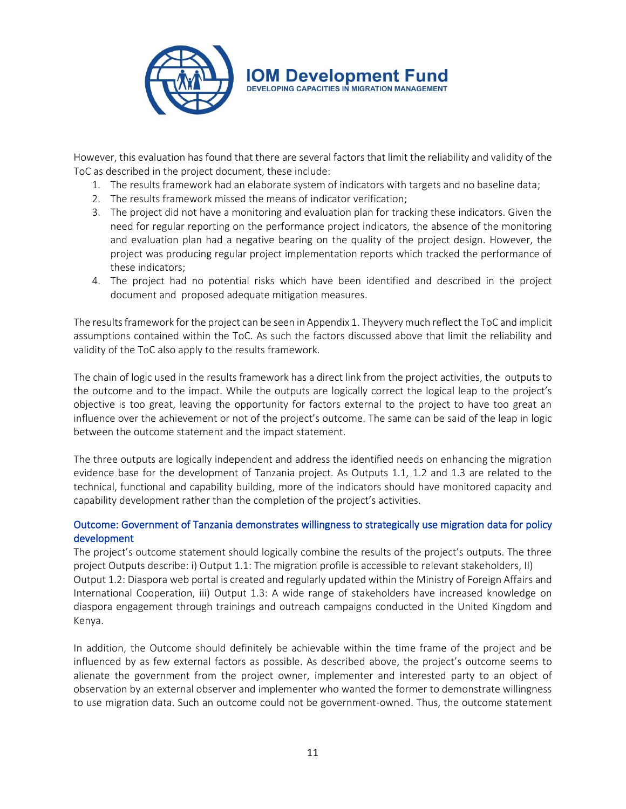

However, this evaluation has found that there are several factors that limit the reliability and validity of the ToC as described in the project document, these include:

- 1. The results framework had an elaborate system of indicators with targets and no baseline data;
- 2. The results framework missed the means of indicator verification;
- 3. The project did not have a monitoring and evaluation plan for tracking these indicators. Given the need for regular reporting on the performance project indicators, the absence of the monitoring and evaluation plan had a negative bearing on the quality of the project design. However, the project was producing regular project implementation reports which tracked the performance of these indicators;
- 4. The project had no potential risks which have been identified and described in the project document and proposed adequate mitigation measures.

The results framework for the project can be seen in Appendix 1. Theyvery much reflect the ToC and implicit assumptions contained within the ToC. As such the factors discussed above that limit the reliability and validity of the ToC also apply to the results framework.

The chain of logic used in the results framework has a direct link from the project activities, the outputs to the outcome and to the impact. While the outputs are logically correct the logical leap to the project's objective is too great, leaving the opportunity for factors external to the project to have too great an influence over the achievement or not of the project's outcome. The same can be said of the leap in logic between the outcome statement and the impact statement.

The three outputs are logically independent and address the identified needs on enhancing the migration evidence base for the development of Tanzania project. As Outputs 1.1, 1.2 and 1.3 are related to the technical, functional and capability building, more of the indicators should have monitored capacity and capability development rather than the completion of the project's activities.

## Outcome: Government of Tanzania demonstrates willingness to strategically use migration data for policy development

The project's outcome statement should logically combine the results of the project's outputs. The three project Outputs describe: i) Output 1.1: The migration profile is accessible to relevant stakeholders, II) Output 1.2: Diaspora web portal is created and regularly updated within the Ministry of Foreign Affairs and International Cooperation, iii) Output 1.3: A wide range of stakeholders have increased knowledge on diaspora engagement through trainings and outreach campaigns conducted in the United Kingdom and Kenya.

In addition, the Outcome should definitely be achievable within the time frame of the project and be influenced by as few external factors as possible. As described above, the project's outcome seems to alienate the government from the project owner, implementer and interested party to an object of observation by an external observer and implementer who wanted the former to demonstrate willingness to use migration data. Such an outcome could not be government-owned. Thus, the outcome statement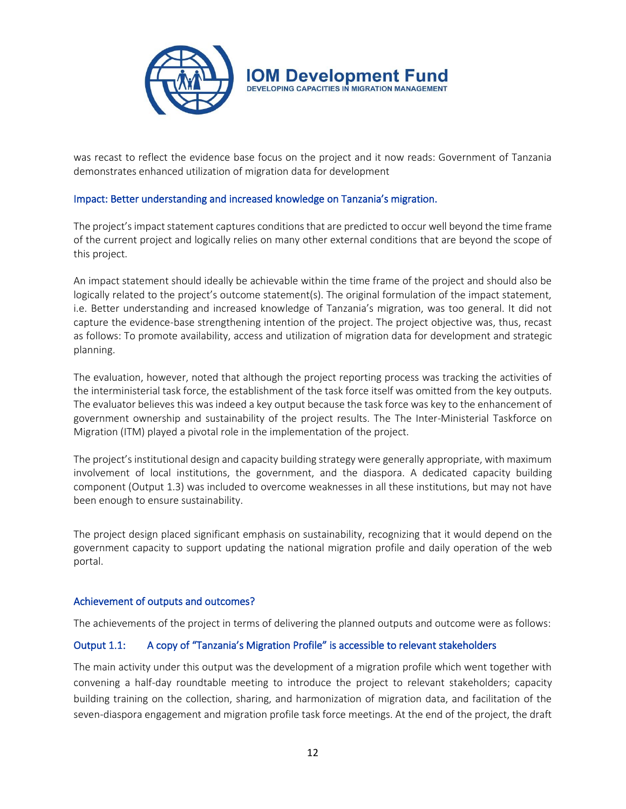

was recast to reflect the evidence base focus on the project and it now reads: Government of Tanzania demonstrates enhanced utilization of migration data for development

#### Impact: Better understanding and increased knowledge on Tanzania's migration.

The project's impact statement captures conditions that are predicted to occur well beyond the time frame of the current project and logically relies on many other external conditions that are beyond the scope of this project.

An impact statement should ideally be achievable within the time frame of the project and should also be logically related to the project's outcome statement(s). The original formulation of the impact statement, i.e. Better understanding and increased knowledge of Tanzania's migration, was too general. It did not capture the evidence-base strengthening intention of the project. The project objective was, thus, recast as follows: To promote availability, access and utilization of migration data for development and strategic planning.

The evaluation, however, noted that although the project reporting process was tracking the activities of the interministerial task force, the establishment of the task force itself was omitted from the key outputs. The evaluator believes this was indeed a key output because the task force was key to the enhancement of government ownership and sustainability of the project results. The The Inter-Ministerial Taskforce on Migration (ITM) played a pivotal role in the implementation of the project.

The project's institutional design and capacity building strategy were generally appropriate, with maximum involvement of local institutions, the government, and the diaspora. A dedicated capacity building component (Output 1.3) was included to overcome weaknesses in all these institutions, but may not have been enough to ensure sustainability.

The project design placed significant emphasis on sustainability, recognizing that it would depend on the government capacity to support updating the national migration profile and daily operation of the web portal.

#### Achievement of outputs and outcomes?

The achievements of the project in terms of delivering the planned outputs and outcome were as follows:

#### Output 1.1: A copy of "Tanzania's Migration Profile" is accessible to relevant stakeholders

The main activity under this output was the development of a migration profile which went together with convening a half-day roundtable meeting to introduce the project to relevant stakeholders; capacity building training on the collection, sharing, and harmonization of migration data, and facilitation of the seven-diaspora engagement and migration profile task force meetings. At the end of the project, the draft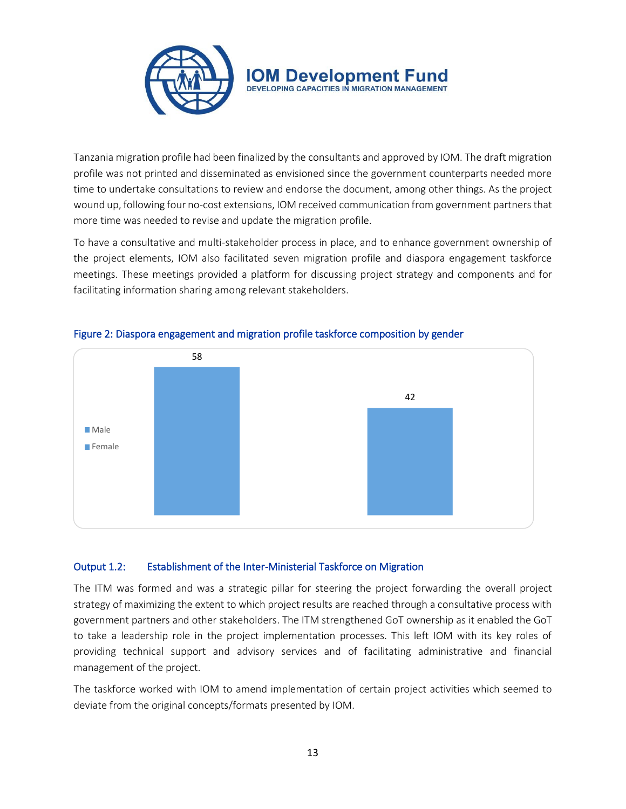

Tanzania migration profile had been finalized by the consultants and approved by IOM. The draft migration profile was not printed and disseminated as envisioned since the government counterparts needed more time to undertake consultations to review and endorse the document, among other things. As the project wound up, following four no-cost extensions, IOM received communication from government partners that more time was needed to revise and update the migration profile.

To have a consultative and multi-stakeholder process in place, and to enhance government ownership of the project elements, IOM also facilitated seven migration profile and diaspora engagement taskforce meetings. These meetings provided a platform for discussing project strategy and components and for facilitating information sharing among relevant stakeholders.



## Figure 2: Diaspora engagement and migration profile taskforce composition by gender

## Output 1.2: Establishment of the Inter-Ministerial Taskforce on Migration

The ITM was formed and was a strategic pillar for steering the project forwarding the overall project strategy of maximizing the extent to which project results are reached through a consultative process with government partners and other stakeholders. The ITM strengthened GoT ownership as it enabled the GoT to take a leadership role in the project implementation processes. This left IOM with its key roles of providing technical support and advisory services and of facilitating administrative and financial management of the project.

The taskforce worked with IOM to amend implementation of certain project activities which seemed to deviate from the original concepts/formats presented by IOM.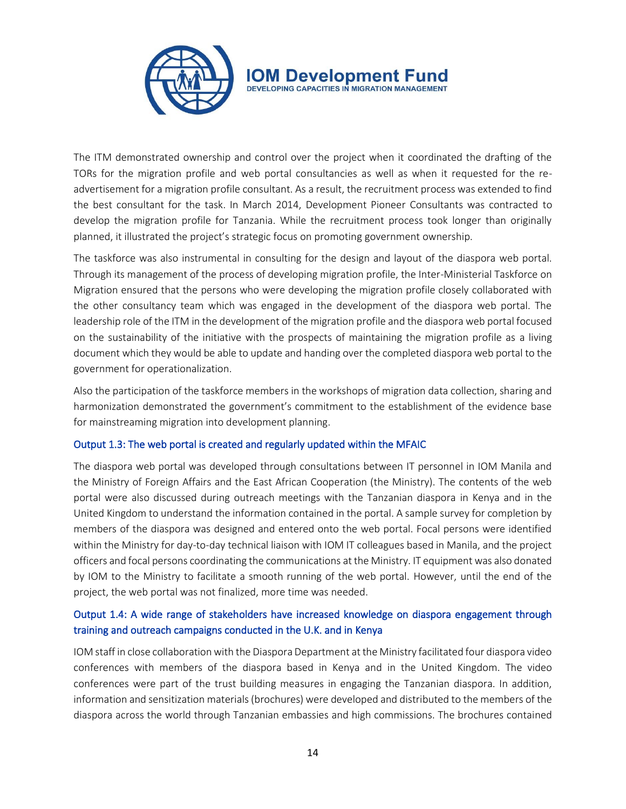

The ITM demonstrated ownership and control over the project when it coordinated the drafting of the TORs for the migration profile and web portal consultancies as well as when it requested for the readvertisement for a migration profile consultant. As a result, the recruitment process was extended to find the best consultant for the task. In March 2014, Development Pioneer Consultants was contracted to develop the migration profile for Tanzania. While the recruitment process took longer than originally planned, it illustrated the project's strategic focus on promoting government ownership.

The taskforce was also instrumental in consulting for the design and layout of the diaspora web portal. Through its management of the process of developing migration profile, the Inter-Ministerial Taskforce on Migration ensured that the persons who were developing the migration profile closely collaborated with the other consultancy team which was engaged in the development of the diaspora web portal. The leadership role of the ITM in the development of the migration profile and the diaspora web portal focused on the sustainability of the initiative with the prospects of maintaining the migration profile as a living document which they would be able to update and handing over the completed diaspora web portal to the government for operationalization.

Also the participation of the taskforce members in the workshops of migration data collection, sharing and harmonization demonstrated the government's commitment to the establishment of the evidence base for mainstreaming migration into development planning.

#### Output 1.3: The web portal is created and regularly updated within the MFAIC

The diaspora web portal was developed through consultations between IT personnel in IOM Manila and the Ministry of Foreign Affairs and the East African Cooperation (the Ministry). The contents of the web portal were also discussed during outreach meetings with the Tanzanian diaspora in Kenya and in the United Kingdom to understand the information contained in the portal. A sample survey for completion by members of the diaspora was designed and entered onto the web portal. Focal persons were identified within the Ministry for day-to-day technical liaison with IOM IT colleagues based in Manila, and the project officers and focal persons coordinating the communications at the Ministry. IT equipment was also donated by IOM to the Ministry to facilitate a smooth running of the web portal. However, until the end of the project, the web portal was not finalized, more time was needed.

# Output 1.4: A wide range of stakeholders have increased knowledge on diaspora engagement through training and outreach campaigns conducted in the U.K. and in Kenya

IOM staff in close collaboration with the Diaspora Department at the Ministry facilitated four diaspora video conferences with members of the diaspora based in Kenya and in the United Kingdom. The video conferences were part of the trust building measures in engaging the Tanzanian diaspora. In addition, information and sensitization materials (brochures) were developed and distributed to the members of the diaspora across the world through Tanzanian embassies and high commissions. The brochures contained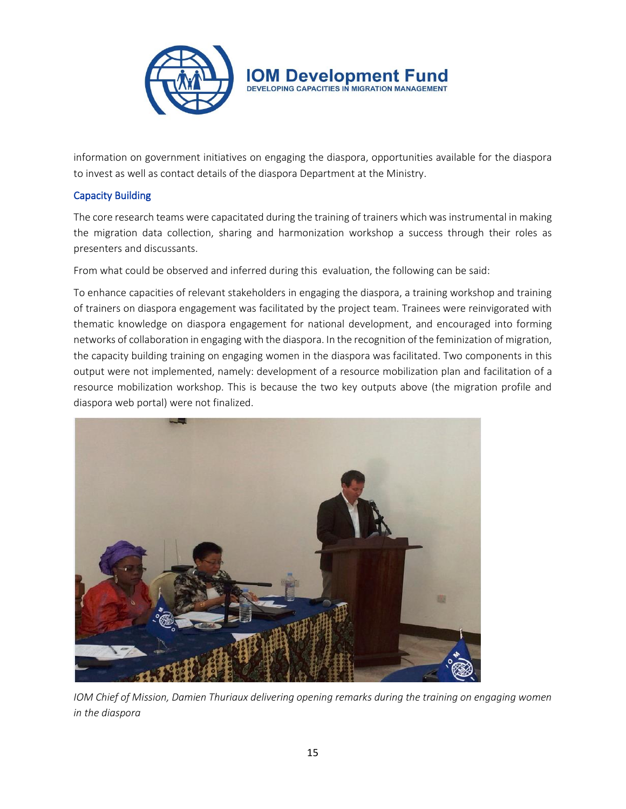

information on government initiatives on engaging the diaspora, opportunities available for the diaspora to invest as well as contact details of the diaspora Department at the Ministry.

## Capacity Building

The core research teams were capacitated during the training of trainers which was instrumental in making the migration data collection, sharing and harmonization workshop a success through their roles as presenters and discussants.

From what could be observed and inferred during this evaluation, the following can be said:

To enhance capacities of relevant stakeholders in engaging the diaspora, a training workshop and training of trainers on diaspora engagement was facilitated by the project team. Trainees were reinvigorated with thematic knowledge on diaspora engagement for national development, and encouraged into forming networks of collaboration in engaging with the diaspora. In the recognition of the feminization of migration, the capacity building training on engaging women in the diaspora was facilitated. Two components in this output were not implemented, namely: development of a resource mobilization plan and facilitation of a resource mobilization workshop. This is because the two key outputs above (the migration profile and diaspora web portal) were not finalized.



*IOM Chief of Mission, Damien Thuriaux delivering opening remarks during the training on engaging women in the diaspora*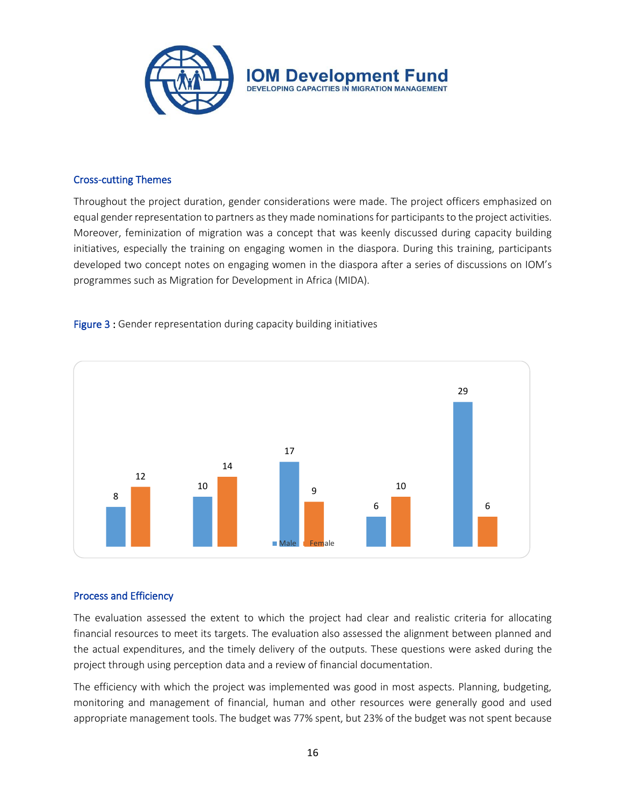

#### Cross-cutting Themes

Throughout the project duration, gender considerations were made. The project officers emphasized on equal gender representation to partners as they made nominations for participants to the project activities. Moreover, feminization of migration was a concept that was keenly discussed during capacity building initiatives, especially the training on engaging women in the diaspora. During this training, participants developed two concept notes on engaging women in the diaspora after a series of discussions on IOM's programmes such as Migration for Development in Africa (MIDA).





#### Process and Efficiency

The evaluation assessed the extent to which the project had clear and realistic criteria for allocating financial resources to meet its targets. The evaluation also assessed the alignment between planned and the actual expenditures, and the timely delivery of the outputs. These questions were asked during the project through using perception data and a review of financial documentation.

The efficiency with which the project was implemented was good in most aspects. Planning, budgeting, monitoring and management of financial, human and other resources were generally good and used appropriate management tools. The budget was 77% spent, but 23% of the budget was not spent because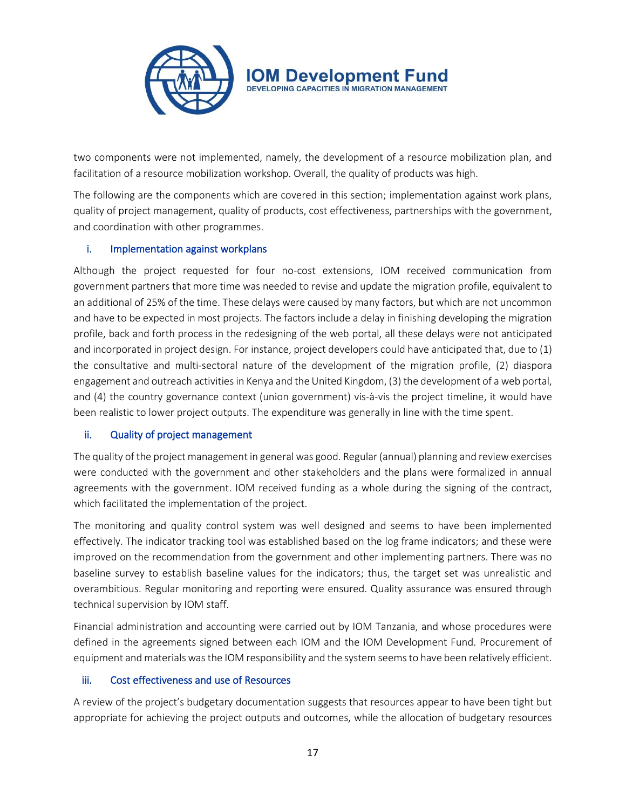

two components were not implemented, namely, the development of a resource mobilization plan, and facilitation of a resource mobilization workshop. Overall, the quality of products was high.

The following are the components which are covered in this section; implementation against work plans, quality of project management, quality of products, cost effectiveness, partnerships with the government, and coordination with other programmes.

## i. Implementation against workplans

Although the project requested for four no-cost extensions, IOM received communication from government partners that more time was needed to revise and update the migration profile, equivalent to an additional of 25% of the time. These delays were caused by many factors, but which are not uncommon and have to be expected in most projects. The factors include a delay in finishing developing the migration profile, back and forth process in the redesigning of the web portal, all these delays were not anticipated and incorporated in project design. For instance, project developers could have anticipated that, due to (1) the consultative and multi-sectoral nature of the development of the migration profile, (2) diaspora engagement and outreach activities in Kenya and the United Kingdom, (3) the development of a web portal, and (4) the country governance context (union government) vis-à-vis the project timeline, it would have been realistic to lower project outputs. The expenditure was generally in line with the time spent.

#### ii. Quality of project management

The quality of the project management in general was good. Regular (annual) planning and review exercises were conducted with the government and other stakeholders and the plans were formalized in annual agreements with the government. IOM received funding as a whole during the signing of the contract, which facilitated the implementation of the project.

The monitoring and quality control system was well designed and seems to have been implemented effectively. The indicator tracking tool was established based on the log frame indicators; and these were improved on the recommendation from the government and other implementing partners. There was no baseline survey to establish baseline values for the indicators; thus, the target set was unrealistic and overambitious. Regular monitoring and reporting were ensured. Quality assurance was ensured through technical supervision by IOM staff.

Financial administration and accounting were carried out by IOM Tanzania, and whose procedures were defined in the agreements signed between each IOM and the IOM Development Fund. Procurement of equipment and materials was the IOM responsibility and the system seems to have been relatively efficient.

#### iii. Cost effectiveness and use of Resources

A review of the project's budgetary documentation suggests that resources appear to have been tight but appropriate for achieving the project outputs and outcomes, while the allocation of budgetary resources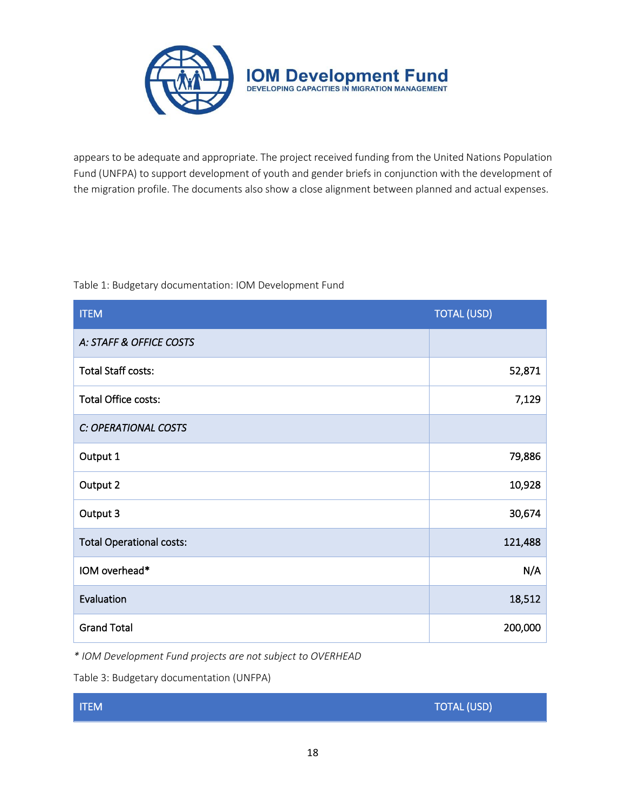

appears to be adequate and appropriate. The project received funding from the United Nations Population Fund (UNFPA) to support development of youth and gender briefs in conjunction with the development of the migration profile. The documents also show a close alignment between planned and actual expenses.

#### Table 1: Budgetary documentation: IOM Development Fund

| <b>ITEM</b>                     | <b>TOTAL (USD)</b> |
|---------------------------------|--------------------|
| A: STAFF & OFFICE COSTS         |                    |
| <b>Total Staff costs:</b>       | 52,871             |
| Total Office costs:             | 7,129              |
| C: OPERATIONAL COSTS            |                    |
| Output 1                        | 79,886             |
| Output 2                        | 10,928             |
| Output 3                        | 30,674             |
| <b>Total Operational costs:</b> | 121,488            |
| IOM overhead*                   | N/A                |
| Evaluation                      | 18,512             |
| <b>Grand Total</b>              | 200,000            |

*\* IOM Development Fund projects are not subject to OVERHEAD*

Table 3: Budgetary documentation (UNFPA)

| <b>ITEM</b> | TOTAL (USD) |
|-------------|-------------|
|             |             |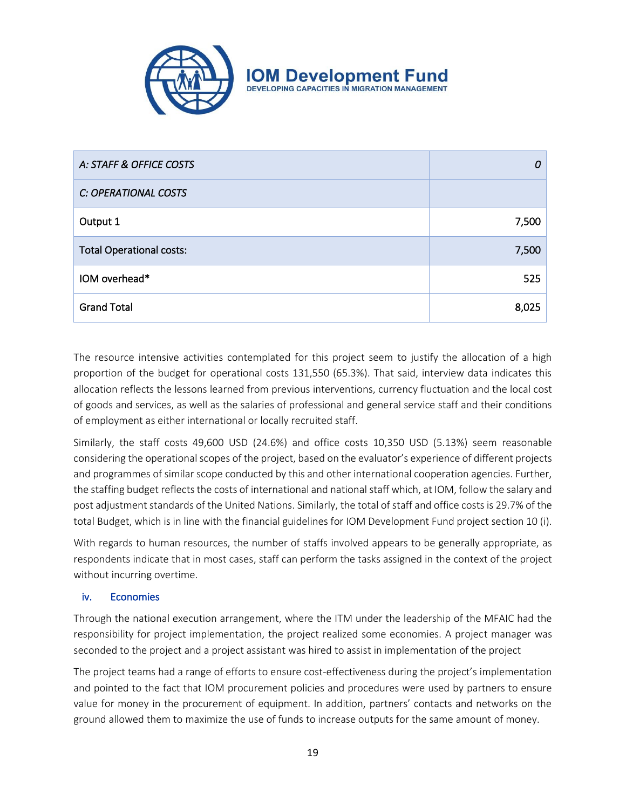

| A: STAFF & OFFICE COSTS         | 0     |
|---------------------------------|-------|
| C: OPERATIONAL COSTS            |       |
| Output 1                        | 7,500 |
| <b>Total Operational costs:</b> | 7,500 |
| IOM overhead*                   | 525   |
| <b>Grand Total</b>              | 8,025 |

The resource intensive activities contemplated for this project seem to justify the allocation of a high proportion of the budget for operational costs 131,550 (65.3%). That said, interview data indicates this allocation reflects the lessons learned from previous interventions, currency fluctuation and the local cost of goods and services, as well as the salaries of professional and general service staff and their conditions of employment as either international or locally recruited staff.

Similarly, the staff costs 49,600 USD (24.6%) and office costs 10,350 USD (5.13%) seem reasonable considering the operational scopes of the project, based on the evaluator's experience of different projects and programmes of similar scope conducted by this and other international cooperation agencies. Further, the staffing budget reflects the costs of international and national staff which, at IOM, follow the salary and post adjustment standards of the United Nations. Similarly, the total of staff and office costs is 29.7% of the total Budget, which is in line with the financial guidelines for IOM Development Fund project section 10 (i).

With regards to human resources, the number of staffs involved appears to be generally appropriate, as respondents indicate that in most cases, staff can perform the tasks assigned in the context of the project without incurring overtime.

## iv. Economies

Through the national execution arrangement, where the ITM under the leadership of the MFAIC had the responsibility for project implementation, the project realized some economies. A project manager was seconded to the project and a project assistant was hired to assist in implementation of the project

The project teams had a range of efforts to ensure cost-effectiveness during the project's implementation and pointed to the fact that IOM procurement policies and procedures were used by partners to ensure value for money in the procurement of equipment. In addition, partners' contacts and networks on the ground allowed them to maximize the use of funds to increase outputs for the same amount of money.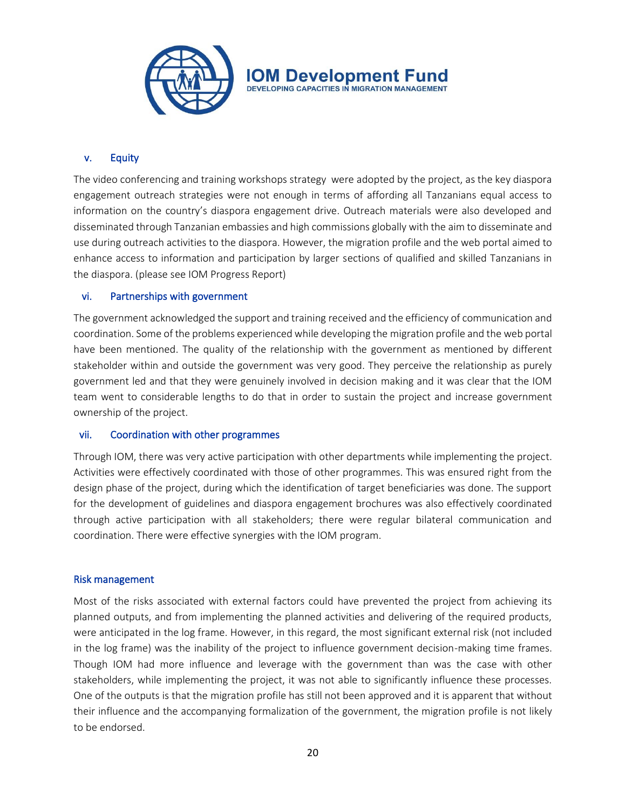

## v. Equity

The video conferencing and training workshops strategy were adopted by the project, as the key diaspora engagement outreach strategies were not enough in terms of affording all Tanzanians equal access to information on the country's diaspora engagement drive. Outreach materials were also developed and disseminated through Tanzanian embassies and high commissions globally with the aim to disseminate and use during outreach activities to the diaspora. However, the migration profile and the web portal aimed to enhance access to information and participation by larger sections of qualified and skilled Tanzanians in the diaspora. (please see IOM Progress Report)

#### vi. Partnerships with government

The government acknowledged the support and training received and the efficiency of communication and coordination. Some of the problems experienced while developing the migration profile and the web portal have been mentioned. The quality of the relationship with the government as mentioned by different stakeholder within and outside the government was very good. They perceive the relationship as purely government led and that they were genuinely involved in decision making and it was clear that the IOM team went to considerable lengths to do that in order to sustain the project and increase government ownership of the project.

#### vii. Coordination with other programmes

Through IOM, there was very active participation with other departments while implementing the project. Activities were effectively coordinated with those of other programmes. This was ensured right from the design phase of the project, during which the identification of target beneficiaries was done. The support for the development of guidelines and diaspora engagement brochures was also effectively coordinated through active participation with all stakeholders; there were regular bilateral communication and coordination. There were effective synergies with the IOM program.

#### Risk management

Most of the risks associated with external factors could have prevented the project from achieving its planned outputs, and from implementing the planned activities and delivering of the required products, were anticipated in the log frame. However, in this regard, the most significant external risk (not included in the log frame) was the inability of the project to influence government decision-making time frames. Though IOM had more influence and leverage with the government than was the case with other stakeholders, while implementing the project, it was not able to significantly influence these processes. One of the outputs is that the migration profile has still not been approved and it is apparent that without their influence and the accompanying formalization of the government, the migration profile is not likely to be endorsed.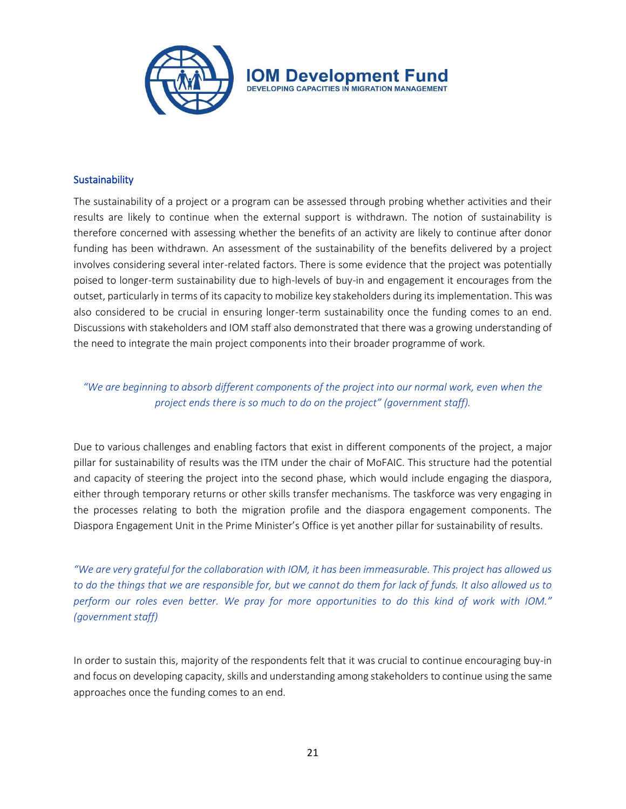

#### **Sustainability**

The sustainability of a project or a program can be assessed through probing whether activities and their results are likely to continue when the external support is withdrawn. The notion of sustainability is therefore concerned with assessing whether the benefits of an activity are likely to continue after donor funding has been withdrawn. An assessment of the sustainability of the benefits delivered by a project involves considering several inter-related factors. There is some evidence that the project was potentially poised to longer-term sustainability due to high-levels of buy-in and engagement it encourages from the outset, particularly in terms of its capacity to mobilize key stakeholders during its implementation. This was also considered to be crucial in ensuring longer-term sustainability once the funding comes to an end. Discussions with stakeholders and IOM staff also demonstrated that there was a growing understanding of the need to integrate the main project components into their broader programme of work.

*"We are beginning to absorb different components of the project into our normal work, even when the project ends there is so much to do on the project" (government staff).*

Due to various challenges and enabling factors that exist in different components of the project, a major pillar for sustainability of results was the ITM under the chair of MoFAIC. This structure had the potential and capacity of steering the project into the second phase, which would include engaging the diaspora, either through temporary returns or other skills transfer mechanisms. The taskforce was very engaging in the processes relating to both the migration profile and the diaspora engagement components. The Diaspora Engagement Unit in the Prime Minister's Office is yet another pillar for sustainability of results.

*"We are very grateful for the collaboration with IOM, it has been immeasurable. This project has allowed us to do the things that we are responsible for, but we cannot do them for lack of funds. It also allowed us to perform our roles even better. We pray for more opportunities to do this kind of work with IOM." (government staff)* 

In order to sustain this, majority of the respondents felt that it was crucial to continue encouraging buy-in and focus on developing capacity, skills and understanding among stakeholders to continue using the same approaches once the funding comes to an end.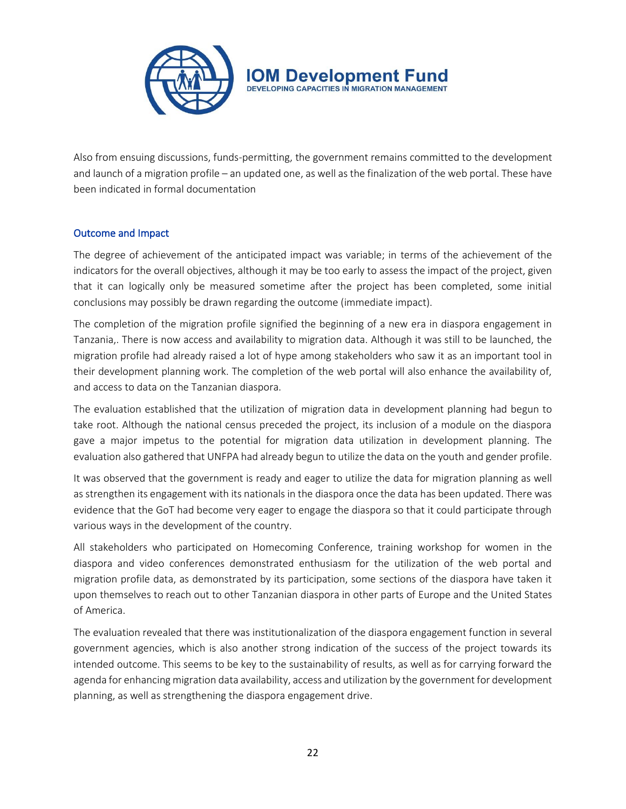

Also from ensuing discussions, funds-permitting, the government remains committed to the development and launch of a migration profile – an updated one, as well as the finalization of the web portal. These have been indicated in formal documentation

## Outcome and Impact

The degree of achievement of the anticipated impact was variable; in terms of the achievement of the indicators for the overall objectives, although it may be too early to assess the impact of the project, given that it can logically only be measured sometime after the project has been completed, some initial conclusions may possibly be drawn regarding the outcome (immediate impact).

The completion of the migration profile signified the beginning of a new era in diaspora engagement in Tanzania,. There is now access and availability to migration data. Although it was still to be launched, the migration profile had already raised a lot of hype among stakeholders who saw it as an important tool in their development planning work. The completion of the web portal will also enhance the availability of, and access to data on the Tanzanian diaspora.

The evaluation established that the utilization of migration data in development planning had begun to take root. Although the national census preceded the project, its inclusion of a module on the diaspora gave a major impetus to the potential for migration data utilization in development planning. The evaluation also gathered that UNFPA had already begun to utilize the data on the youth and gender profile.

It was observed that the government is ready and eager to utilize the data for migration planning as well as strengthen its engagement with its nationals in the diaspora once the data has been updated. There was evidence that the GoT had become very eager to engage the diaspora so that it could participate through various ways in the development of the country.

All stakeholders who participated on Homecoming Conference, training workshop for women in the diaspora and video conferences demonstrated enthusiasm for the utilization of the web portal and migration profile data, as demonstrated by its participation, some sections of the diaspora have taken it upon themselves to reach out to other Tanzanian diaspora in other parts of Europe and the United States of America.

The evaluation revealed that there was institutionalization of the diaspora engagement function in several government agencies, which is also another strong indication of the success of the project towards its intended outcome. This seems to be key to the sustainability of results, as well as for carrying forward the agenda for enhancing migration data availability, access and utilization by the government for development planning, as well as strengthening the diaspora engagement drive.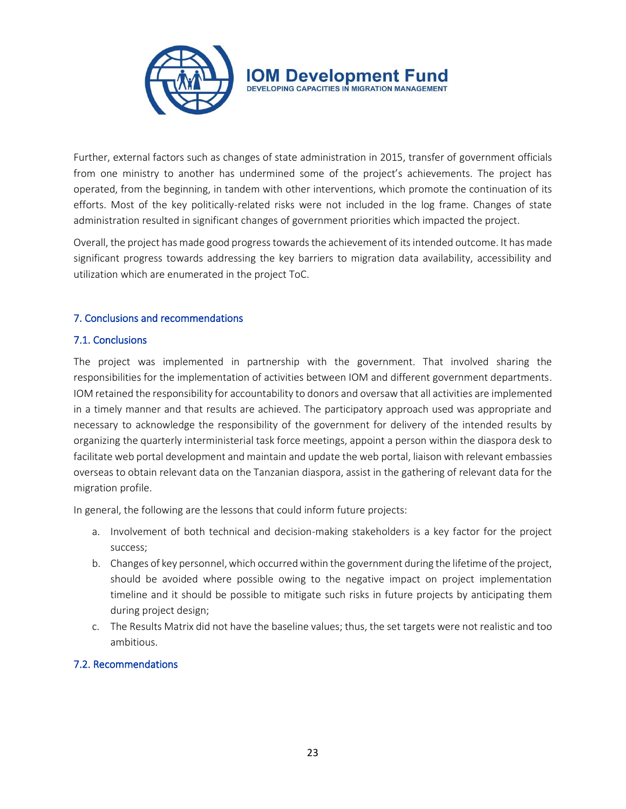

Further, external factors such as changes of state administration in 2015, transfer of government officials from one ministry to another has undermined some of the project's achievements. The project has operated, from the beginning, in tandem with other interventions, which promote the continuation of its efforts. Most of the key politically-related risks were not included in the log frame. Changes of state administration resulted in significant changes of government priorities which impacted the project.

Overall, the project has made good progress towards the achievement of its intended outcome. It has made significant progress towards addressing the key barriers to migration data availability, accessibility and utilization which are enumerated in the project ToC.

## 7. Conclusions and recommendations

## 7.1. Conclusions

The project was implemented in partnership with the government. That involved sharing the responsibilities for the implementation of activities between IOM and different government departments. IOM retained the responsibility for accountability to donors and oversaw that all activities are implemented in a timely manner and that results are achieved. The participatory approach used was appropriate and necessary to acknowledge the responsibility of the government for delivery of the intended results by organizing the quarterly interministerial task force meetings, appoint a person within the diaspora desk to facilitate web portal development and maintain and update the web portal, liaison with relevant embassies overseas to obtain relevant data on the Tanzanian diaspora, assist in the gathering of relevant data for the migration profile.

In general, the following are the lessons that could inform future projects:

- a. Involvement of both technical and decision-making stakeholders is a key factor for the project success;
- b. Changes of key personnel, which occurred within the government during the lifetime of the project, should be avoided where possible owing to the negative impact on project implementation timeline and it should be possible to mitigate such risks in future projects by anticipating them during project design;
- c. The Results Matrix did not have the baseline values; thus, the set targets were not realistic and too ambitious.

## 7.2. Recommendations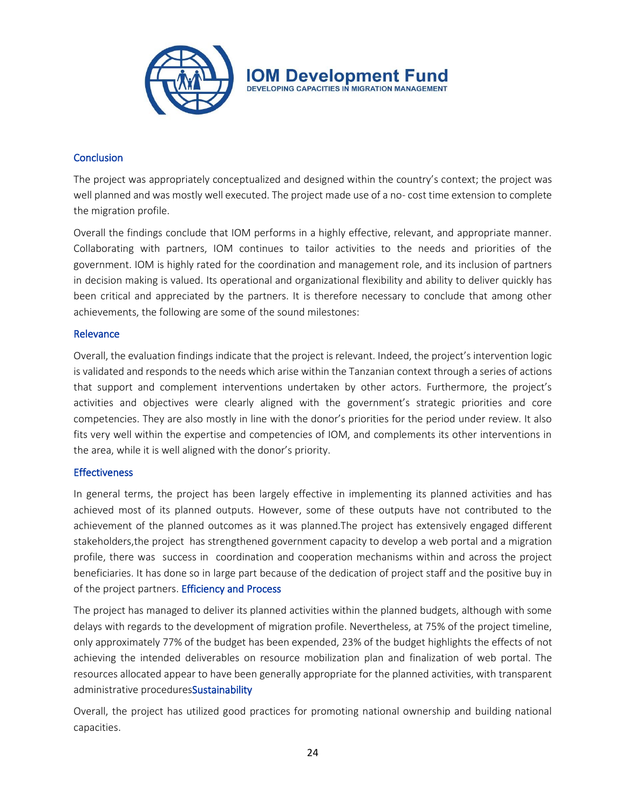

## **Conclusion**

The project was appropriately conceptualized and designed within the country's context; the project was well planned and was mostly well executed. The project made use of a no- cost time extension to complete the migration profile.

Overall the findings conclude that IOM performs in a highly effective, relevant, and appropriate manner. Collaborating with partners, IOM continues to tailor activities to the needs and priorities of the government. IOM is highly rated for the coordination and management role, and its inclusion of partners in decision making is valued. Its operational and organizational flexibility and ability to deliver quickly has been critical and appreciated by the partners. It is therefore necessary to conclude that among other achievements, the following are some of the sound milestones:

#### Relevance

Overall, the evaluation findings indicate that the project is relevant. Indeed, the project's intervention logic is validated and responds to the needs which arise within the Tanzanian context through a series of actions that support and complement interventions undertaken by other actors. Furthermore, the project's activities and objectives were clearly aligned with the government's strategic priorities and core competencies. They are also mostly in line with the donor's priorities for the period under review. It also fits very well within the expertise and competencies of IOM, and complements its other interventions in the area, while it is well aligned with the donor's priority.

#### **Effectiveness**

In general terms, the project has been largely effective in implementing its planned activities and has achieved most of its planned outputs. However, some of these outputs have not contributed to the achievement of the planned outcomes as it was planned.The project has extensively engaged different stakeholders,the project has strengthened government capacity to develop a web portal and a migration profile, there was success in coordination and cooperation mechanisms within and across the project beneficiaries. It has done so in large part because of the dedication of project staff and the positive buy in of the project partners. Efficiency and Process

The project has managed to deliver its planned activities within the planned budgets, although with some delays with regards to the development of migration profile. Nevertheless, at 75% of the project timeline, only approximately 77% of the budget has been expended, 23% of the budget highlights the effects of not achieving the intended deliverables on resource mobilization plan and finalization of web portal. The resources allocated appear to have been generally appropriate for the planned activities, with transparent administrative proceduresSustainability

Overall, the project has utilized good practices for promoting national ownership and building national capacities.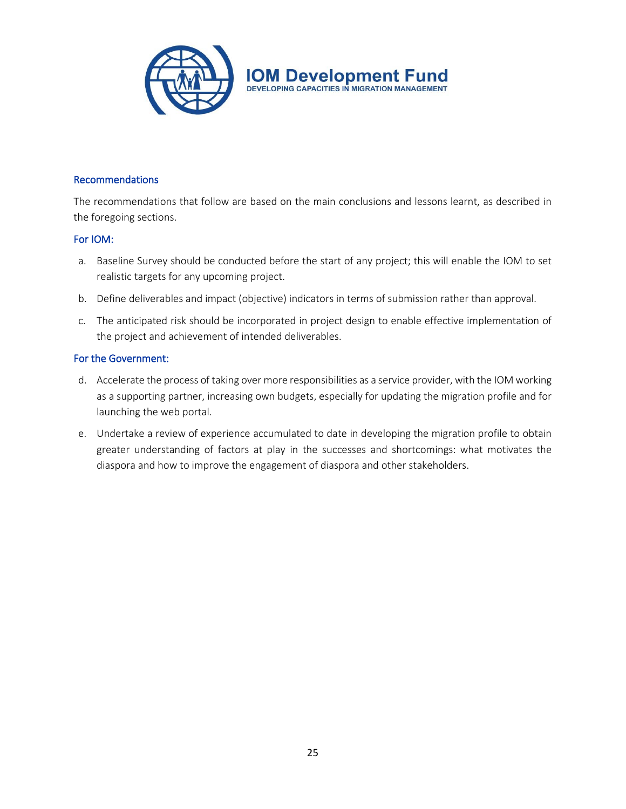

## Recommendations

The recommendations that follow are based on the main conclusions and lessons learnt, as described in the foregoing sections.

#### For IOM:

- a. Baseline Survey should be conducted before the start of any project; this will enable the IOM to set realistic targets for any upcoming project.
- b. Define deliverables and impact (objective) indicators in terms of submission rather than approval.
- c. The anticipated risk should be incorporated in project design to enable effective implementation of the project and achievement of intended deliverables.

#### For the Government:

- d. Accelerate the process of taking over more responsibilities as a service provider, with the IOM working as a supporting partner, increasing own budgets, especially for updating the migration profile and for launching the web portal.
- e. Undertake a review of experience accumulated to date in developing the migration profile to obtain greater understanding of factors at play in the successes and shortcomings: what motivates the diaspora and how to improve the engagement of diaspora and other stakeholders.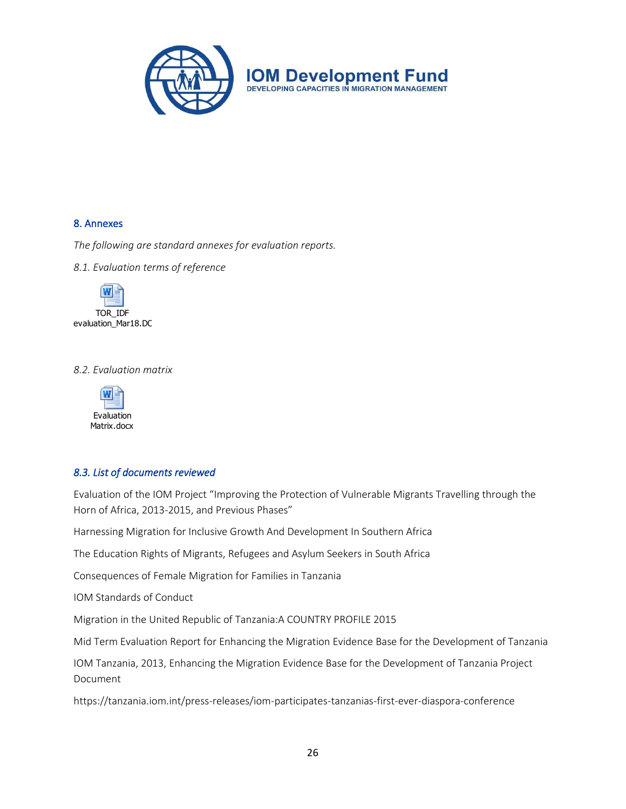

#### 8. Annexes

*The following are standard annexes for evaluation reports.*

*8.1. Evaluation terms of reference*



#### *8.2. Evaluation matrix*



#### *8.3. List of documents reviewed*

Evaluation of the IOM Project "Improving the Protection of Vulnerable Migrants Travelling through the Horn of Africa, 2013-2015, and Previous Phases"

Harnessing Migration for Inclusive Growth And Development In Southern Africa

The Education Rights of Migrants, Refugees and Asylum Seekers in South Africa

Consequences of Female Migration for Families in Tanzania

IOM Standards of Conduct

Migration in the United Republic of Tanzania:A COUNTRY PROFILE 2015

Mid Term Evaluation Report for Enhancing the Migration Evidence Base for the Development of Tanzania

IOM Tanzania, 2013, Enhancing the Migration Evidence Base for the Development of Tanzania Project Document

https://tanzania.iom.int/press-releases/iom-participates-tanzanias-first-ever-diaspora-conference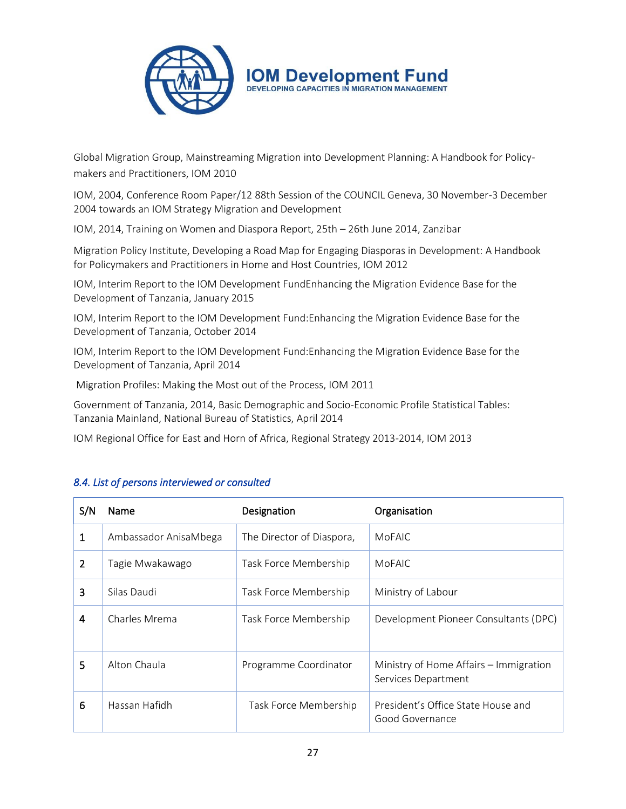

Global Migration Group, Mainstreaming Migration into Development Planning: A Handbook for Policymakers and Practitioners, IOM 2010

IOM, 2004, Conference Room Paper/12 88th Session of the COUNCIL Geneva, 30 November-3 December 2004 towards an IOM Strategy Migration and Development

IOM, 2014, Training on Women and Diaspora Report, 25th – 26th June 2014, Zanzibar

Migration Policy Institute, Developing a Road Map for Engaging Diasporas in Development: A Handbook for Policymakers and Practitioners in Home and Host Countries, IOM 2012

IOM, Interim Report to the IOM Development FundEnhancing the Migration Evidence Base for the Development of Tanzania, January 2015

IOM, Interim Report to the IOM Development Fund:Enhancing the Migration Evidence Base for the Development of Tanzania, October 2014

IOM, Interim Report to the IOM Development Fund:Enhancing the Migration Evidence Base for the Development of Tanzania, April 2014

Migration Profiles: Making the Most out of the Process, IOM 2011

Government of Tanzania, 2014, Basic Demographic and Socio-Economic Profile Statistical Tables: Tanzania Mainland, National Bureau of Statistics, April 2014

IOM Regional Office for East and Horn of Africa, Regional Strategy 2013-2014, IOM 2013

| S/N            | Name                  | Designation               | Organisation                                                  |
|----------------|-----------------------|---------------------------|---------------------------------------------------------------|
| $\mathbf{1}$   | Ambassador AnisaMbega | The Director of Diaspora, | <b>MoFAIC</b>                                                 |
| $\overline{2}$ | Tagie Mwakawago       | Task Force Membership     | MoFAIC                                                        |
| 3              | Silas Daudi           | Task Force Membership     | Ministry of Labour                                            |
| 4              | Charles Mrema         | Task Force Membership     | Development Pioneer Consultants (DPC)                         |
| 5              | Alton Chaula          | Programme Coordinator     | Ministry of Home Affairs – Immigration<br>Services Department |
| 6              | Hassan Hafidh         | Task Force Membership     | President's Office State House and<br>Good Governance         |

## *8.4. List of persons interviewed or consulted*